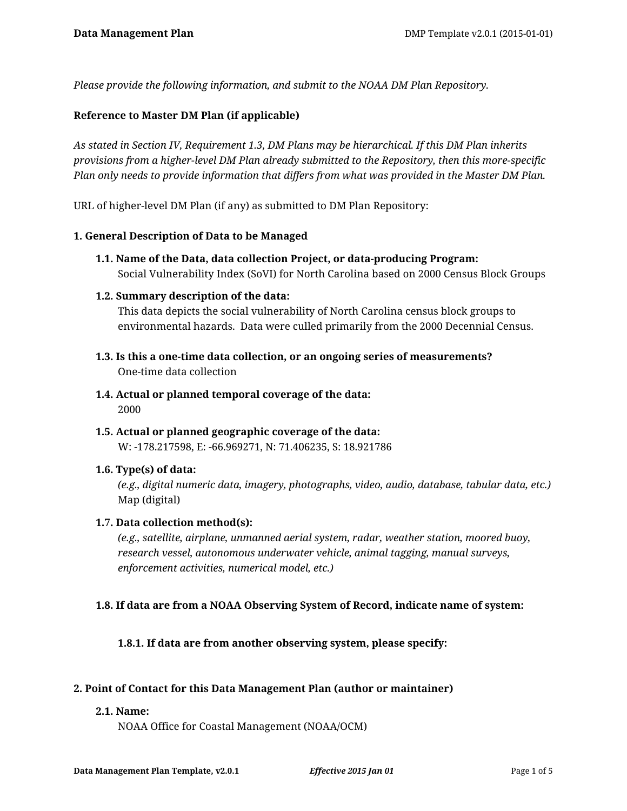*Please provide the following information, and submit to the NOAA DM Plan Repository.*

## **Reference to Master DM Plan (if applicable)**

*As stated in Section IV, Requirement 1.3, DM Plans may be hierarchical. If this DM Plan inherits provisions from a higher-level DM Plan already submitted to the Repository, then this more-specific Plan only needs to provide information that differs from what was provided in the Master DM Plan.*

URL of higher-level DM Plan (if any) as submitted to DM Plan Repository:

#### **1. General Description of Data to be Managed**

**1.1. Name of the Data, data collection Project, or data-producing Program:** Social Vulnerability Index (SoVI) for North Carolina based on 2000 Census Block Groups

#### **1.2. Summary description of the data:**

This data depicts the social vulnerability of North Carolina census block groups to environmental hazards. Data were culled primarily from the 2000 Decennial Census.

- **1.3. Is this a one-time data collection, or an ongoing series of measurements?** One-time data collection
- **1.4. Actual or planned temporal coverage of the data:** 2000
- **1.5. Actual or planned geographic coverage of the data:** W: -178.217598, E: -66.969271, N: 71.406235, S: 18.921786

#### **1.6. Type(s) of data:**

*(e.g., digital numeric data, imagery, photographs, video, audio, database, tabular data, etc.)* Map (digital)

#### **1.7. Data collection method(s):**

*(e.g., satellite, airplane, unmanned aerial system, radar, weather station, moored buoy, research vessel, autonomous underwater vehicle, animal tagging, manual surveys, enforcement activities, numerical model, etc.)*

#### **1.8. If data are from a NOAA Observing System of Record, indicate name of system:**

**1.8.1. If data are from another observing system, please specify:**

#### **2. Point of Contact for this Data Management Plan (author or maintainer)**

#### **2.1. Name:**

NOAA Office for Coastal Management (NOAA/OCM)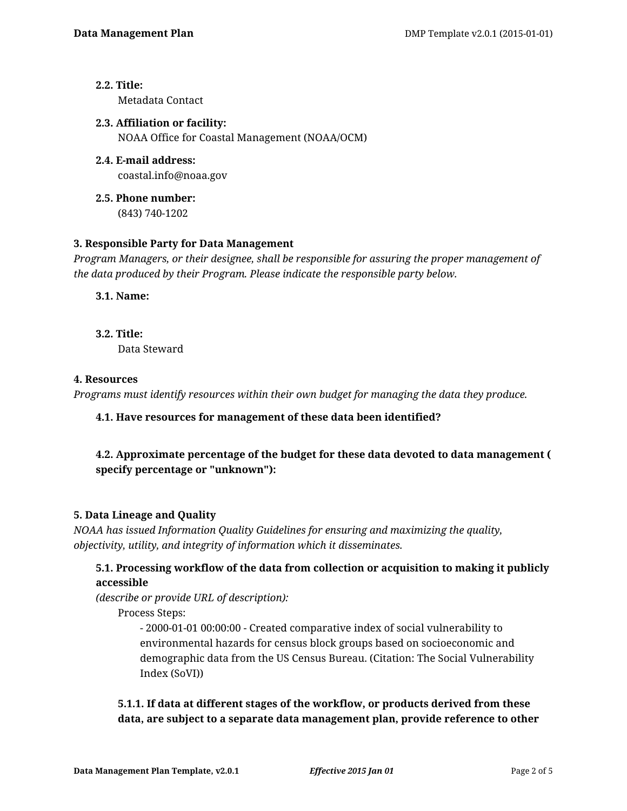# **2.2. Title:**

Metadata Contact

**2.3. Affiliation or facility:** NOAA Office for Coastal Management (NOAA/OCM)

- **2.4. E-mail address:** coastal.info@noaa.gov
- **2.5. Phone number:** (843) 740-1202

# **3. Responsible Party for Data Management**

*Program Managers, or their designee, shall be responsible for assuring the proper management of the data produced by their Program. Please indicate the responsible party below.*

**3.1. Name:**

**3.2. Title:**

Data Steward

# **4. Resources**

*Programs must identify resources within their own budget for managing the data they produce.*

# **4.1. Have resources for management of these data been identified?**

# **4.2. Approximate percentage of the budget for these data devoted to data management ( specify percentage or "unknown"):**

# **5. Data Lineage and Quality**

*NOAA has issued Information Quality Guidelines for ensuring and maximizing the quality, objectivity, utility, and integrity of information which it disseminates.*

# **5.1. Processing workflow of the data from collection or acquisition to making it publicly accessible**

*(describe or provide URL of description):*

Process Steps:

- 2000-01-01 00:00:00 - Created comparative index of social vulnerability to environmental hazards for census block groups based on socioeconomic and demographic data from the US Census Bureau. (Citation: The Social Vulnerability Index (SoVI))

# **5.1.1. If data at different stages of the workflow, or products derived from these data, are subject to a separate data management plan, provide reference to other**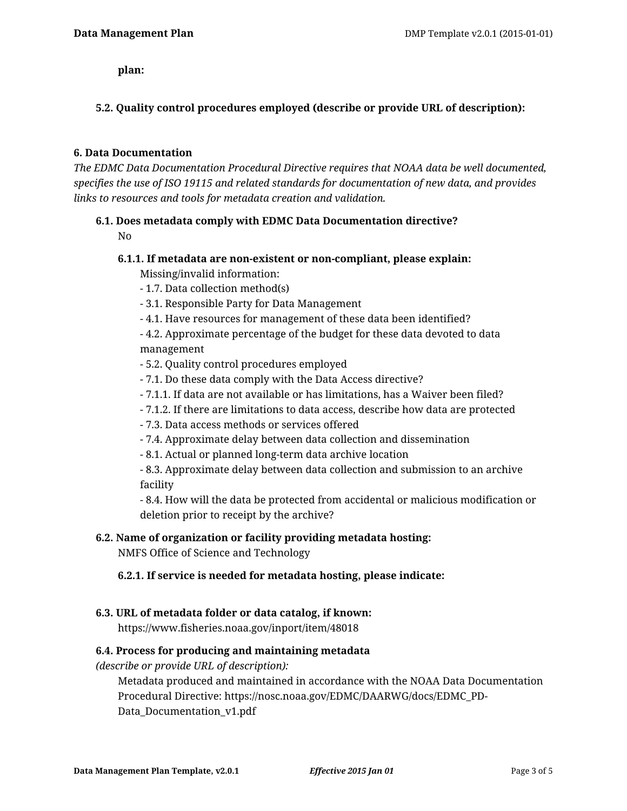**plan:**

# **5.2. Quality control procedures employed (describe or provide URL of description):**

## **6. Data Documentation**

*The EDMC Data Documentation Procedural Directive requires that NOAA data be well documented, specifies the use of ISO 19115 and related standards for documentation of new data, and provides links to resources and tools for metadata creation and validation.*

## **6.1. Does metadata comply with EDMC Data Documentation directive?**

No

## **6.1.1. If metadata are non-existent or non-compliant, please explain:** Missing/invalid information:

- 1.7. Data collection method(s)

- 3.1. Responsible Party for Data Management

- 4.1. Have resources for management of these data been identified?

- 4.2. Approximate percentage of the budget for these data devoted to data management

- 5.2. Quality control procedures employed
- 7.1. Do these data comply with the Data Access directive?
- 7.1.1. If data are not available or has limitations, has a Waiver been filed?
- 7.1.2. If there are limitations to data access, describe how data are protected

- 7.3. Data access methods or services offered

- 7.4. Approximate delay between data collection and dissemination
- 8.1. Actual or planned long-term data archive location

- 8.3. Approximate delay between data collection and submission to an archive facility

- 8.4. How will the data be protected from accidental or malicious modification or deletion prior to receipt by the archive?

# **6.2. Name of organization or facility providing metadata hosting:**

NMFS Office of Science and Technology

#### **6.2.1. If service is needed for metadata hosting, please indicate:**

#### **6.3. URL of metadata folder or data catalog, if known:**

https://www.fisheries.noaa.gov/inport/item/48018

# **6.4. Process for producing and maintaining metadata**

*(describe or provide URL of description):*

Metadata produced and maintained in accordance with the NOAA Data Documentation Procedural Directive: https://nosc.noaa.gov/EDMC/DAARWG/docs/EDMC\_PD-Data Documentation v1.pdf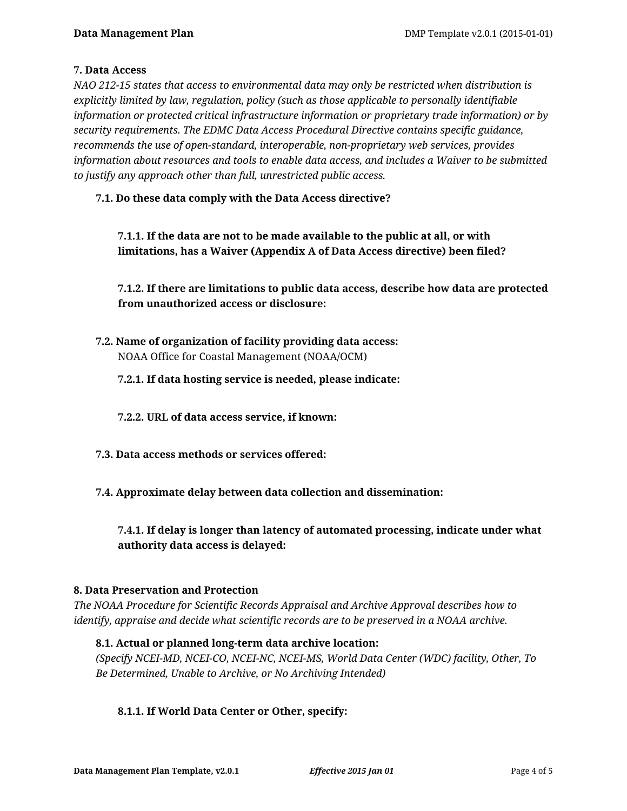# **7. Data Access**

*NAO 212-15 states that access to environmental data may only be restricted when distribution is explicitly limited by law, regulation, policy (such as those applicable to personally identifiable information or protected critical infrastructure information or proprietary trade information) or by security requirements. The EDMC Data Access Procedural Directive contains specific guidance, recommends the use of open-standard, interoperable, non-proprietary web services, provides information about resources and tools to enable data access, and includes a Waiver to be submitted to justify any approach other than full, unrestricted public access.*

# **7.1. Do these data comply with the Data Access directive?**

**7.1.1. If the data are not to be made available to the public at all, or with limitations, has a Waiver (Appendix A of Data Access directive) been filed?**

**7.1.2. If there are limitations to public data access, describe how data are protected from unauthorized access or disclosure:**

**7.2. Name of organization of facility providing data access:** NOAA Office for Coastal Management (NOAA/OCM)

## **7.2.1. If data hosting service is needed, please indicate:**

- **7.2.2. URL of data access service, if known:**
- **7.3. Data access methods or services offered:**
- **7.4. Approximate delay between data collection and dissemination:**

# **7.4.1. If delay is longer than latency of automated processing, indicate under what authority data access is delayed:**

#### **8. Data Preservation and Protection**

*The NOAA Procedure for Scientific Records Appraisal and Archive Approval describes how to identify, appraise and decide what scientific records are to be preserved in a NOAA archive.*

#### **8.1. Actual or planned long-term data archive location:**

*(Specify NCEI-MD, NCEI-CO, NCEI-NC, NCEI-MS, World Data Center (WDC) facility, Other, To Be Determined, Unable to Archive, or No Archiving Intended)*

#### **8.1.1. If World Data Center or Other, specify:**